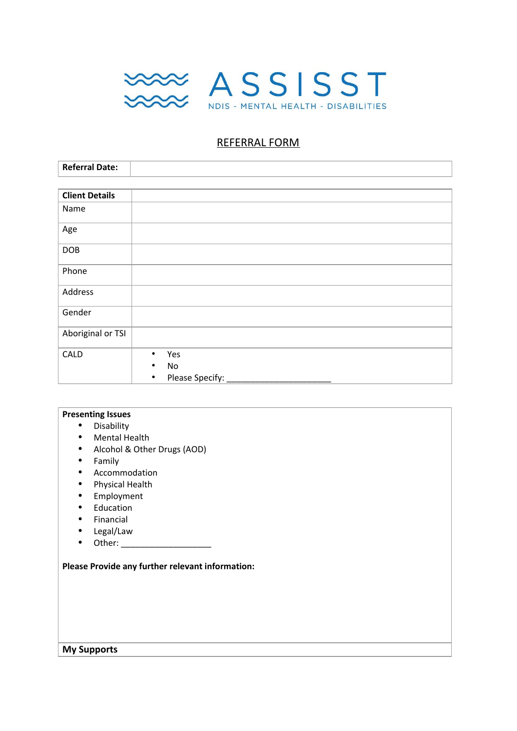

## REFERRAL FORM

| <b>Referral Date:</b> |                              |
|-----------------------|------------------------------|
|                       |                              |
| <b>Client Details</b> |                              |
| Name                  |                              |
| Age                   |                              |
| <b>DOB</b>            |                              |
| Phone                 |                              |
| Address               |                              |
| Gender                |                              |
| Aboriginal or TSI     |                              |
| CALD                  | Yes<br>$\bullet$             |
|                       | No                           |
|                       | Please Specify:<br>$\bullet$ |

### **Presenting Issues**

- Disability
- Mental Health
- Alcohol & Other Drugs (AOD)
- Family<br>• Accomi
- **Accommodation**
- Physical Health
- Employment<br>• Education
- Education<br>• Einancial
- 
- Financial<br>• Legal/Lav • Legal/Law<br>• Other:
- Other: \_\_\_\_\_\_\_\_\_\_\_\_\_\_\_\_\_\_\_

**Please Provide any further relevant information:**

#### **My Supports**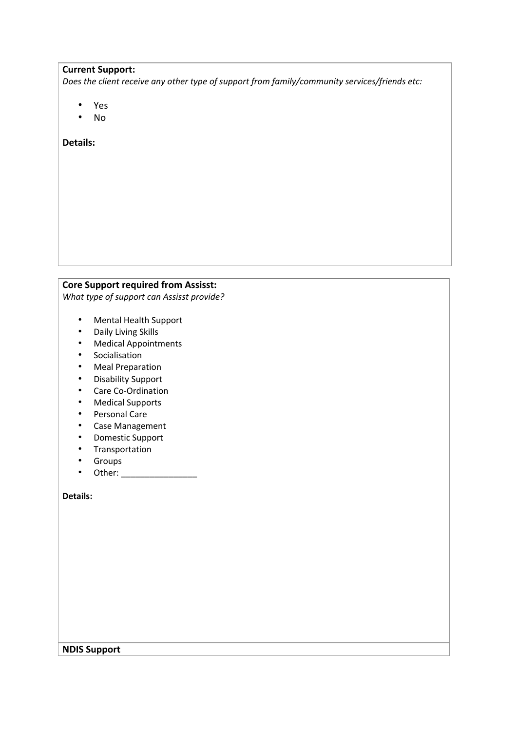#### **Current Support:**

*Does the client receive any other type of support from family/community services/friends etc:*

- Yes
- No

**Details:**

# **Core Support required from Assisst:**

*What type of support can Assisst provide?*

- Mental Health Support
- Daily Living Skills
- Medical Appointments
- Socialisation
- Meal Preparation
- Disability Support<br>• Care Co-Ordination
- Care Co-Ordination
- Medical Supports
- Personal Care
- Case Management
- Domestic Support
- Transportation
- Groups<br>• Other:
- Other: \_\_\_\_\_\_\_\_\_\_\_\_\_\_\_\_

**Details:**

**NDIS Support**